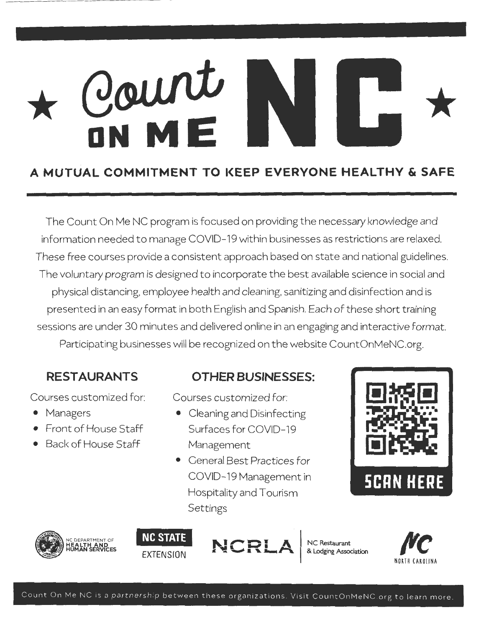## \* *G*  **ON ME** \*

#### **A MUTUAL COMMITMENT TO l(EEP EVERYONE HEALTHY & SAFE**

The Count On Me NC program is focused on providing the necessary knowledge and information needed to manage COVID- 19 within businesses as restrictions are relaxed. These free courses provide a consistent approach based on state and national guidelines. The voluntary program is designed to incorporate the best available science in social and physical distancing, employee health and cleaning, sanitizing and disinfection and is presented in an easy format in both English and Spanish. Each of these short training sessions are under 30 minutes and delivered online in an engaging and interactive format. Participating businesses will be recognized on the website CountOnMeNC.org.

#### **RESTAURANTS**

Courses customized for:

- **Managers**
- Front of House Staff
- Back of House Staff

#### **OTHER BUSINESSES:**

Courses customized for:

- Cleaning and Disinfecting Surfaces for COVID-19 Management
- General Best Practices for COVID-19 Management in Hospitality and Tourism **Settings**